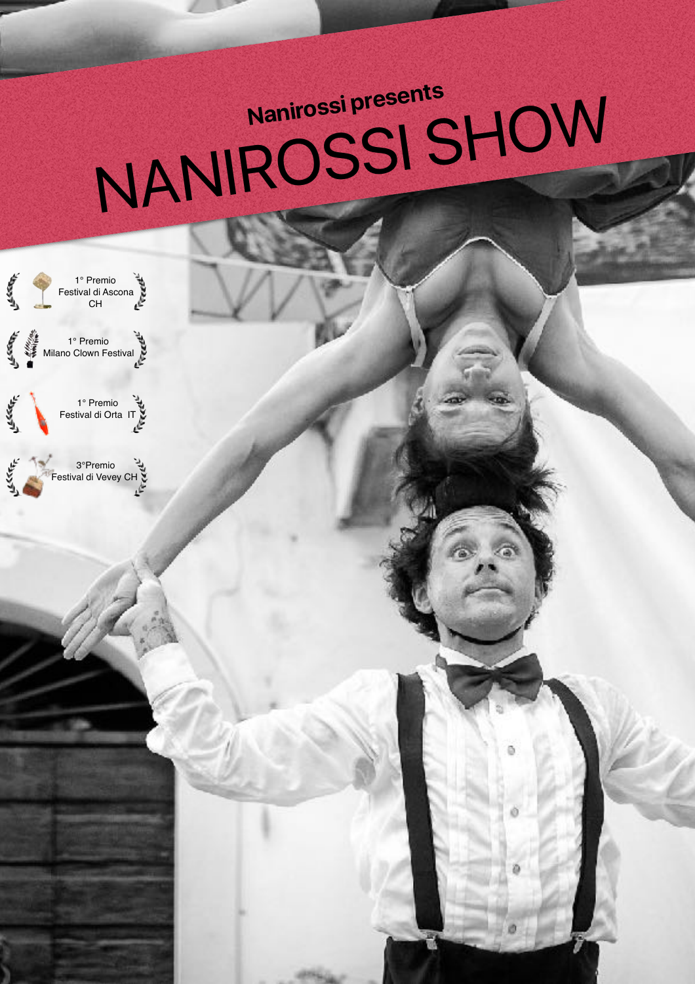## **Nanirossi presents** NANIROSSI SHOW

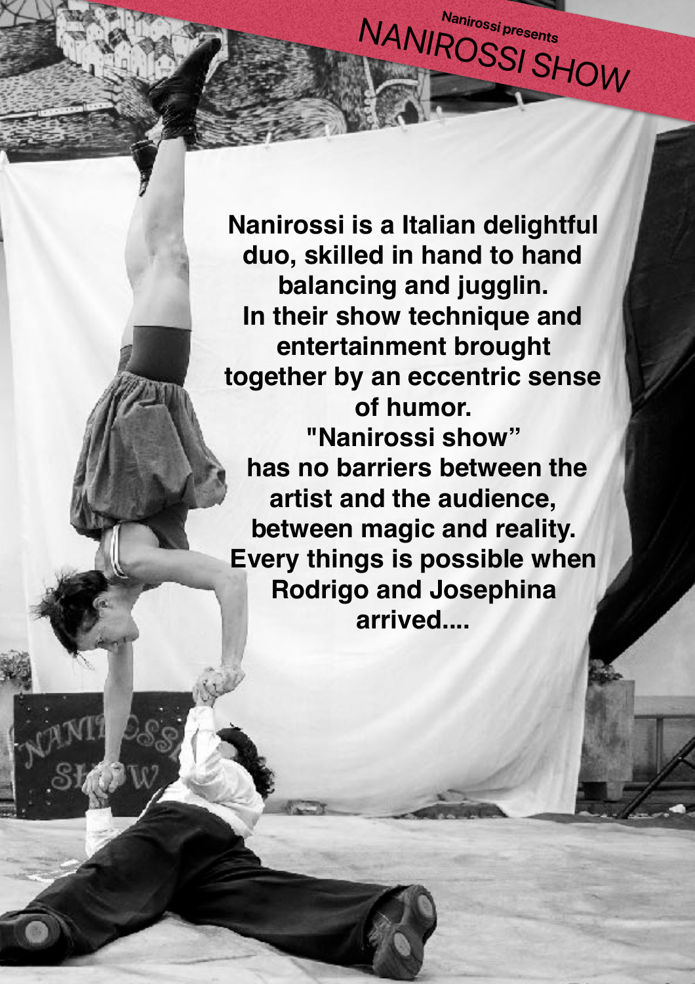**Nanirossi is a Italian delightful duo, skilled in hand to hand balancing and jugglin. In their show technique and entertainment brought together by an eccentric sense of humor. "Nanirossi show" has no barriers between the artist and the audience, between magic and reality. Every things is possible when Rodrigo and Josephina arrived....** 

**Nanirossi presents**  NANIROSSI SHOW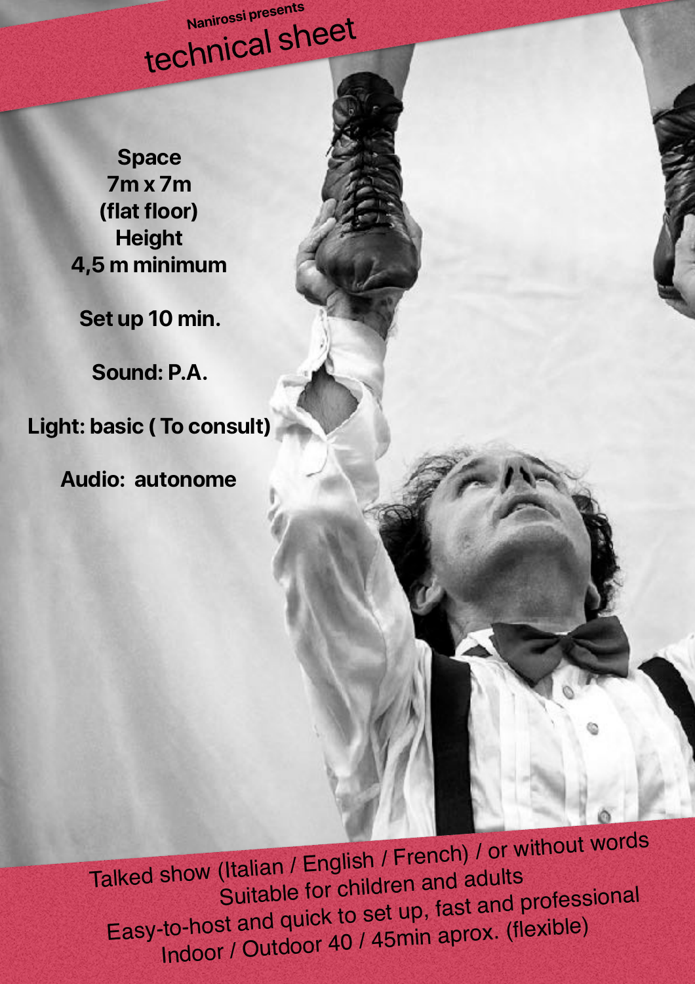**Nanirossi presents**  technical sheet

**Space 7m x 7m (flat floor) Height 4,5 m minimum**

**Set up 10 min.** 

**Sound: P.A.** 

**Light: basic ( To consult)** 

**Audio: autonome** 

Talked show (Italian / English / French) / or without words Suitable for children and adults Easy-to-host and quick to set up, fast and professional Indoor / Outdoor 40 / 45min aprox. (flexible)